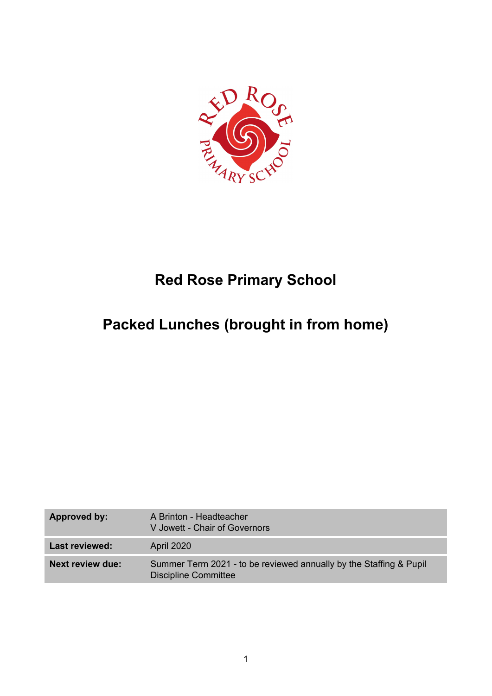

# **Red Rose Primary School**

# **Packed Lunches (brought in from home)**

| Approved by:            | A Brinton - Headteacher<br>V Jowett - Chair of Governors                                          |
|-------------------------|---------------------------------------------------------------------------------------------------|
| <b>Last reviewed:</b>   | April 2020                                                                                        |
| <b>Next review due:</b> | Summer Term 2021 - to be reviewed annually by the Staffing & Pupil<br><b>Discipline Committee</b> |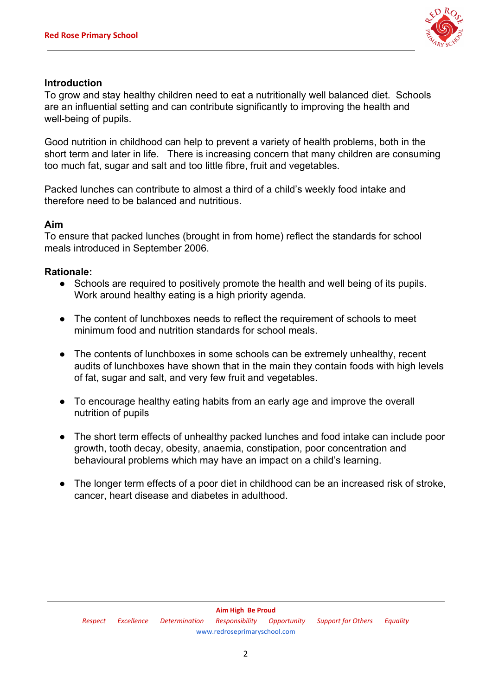

# **Introduction**

To grow and stay healthy children need to eat a nutritionally well balanced diet. Schools are an influential setting and can contribute significantly to improving the health and well-being of pupils.

Good nutrition in childhood can help to prevent a variety of health problems, both in the short term and later in life. There is increasing concern that many children are consuming too much fat, sugar and salt and too little fibre, fruit and vegetables.

Packed lunches can contribute to almost a third of a child's weekly food intake and therefore need to be balanced and nutritious.

# **Aim**

To ensure that packed lunches (brought in from home) reflect the standards for school meals introduced in September 2006.

# **Rationale:**

- Schools are required to positively promote the health and well being of its pupils. Work around healthy eating is a high priority agenda.
- The content of lunchboxes needs to reflect the requirement of schools to meet minimum food and nutrition standards for school meals.
- The contents of lunchboxes in some schools can be extremely unhealthy, recent audits of lunchboxes have shown that in the main they contain foods with high levels of fat, sugar and salt, and very few fruit and vegetables.
- To encourage healthy eating habits from an early age and improve the overall nutrition of pupils
- The short term effects of unhealthy packed lunches and food intake can include poor growth, tooth decay, obesity, anaemia, constipation, poor concentration and behavioural problems which may have an impact on a child's learning.
- The longer term effects of a poor diet in childhood can be an increased risk of stroke, cancer, heart disease and diabetes in adulthood.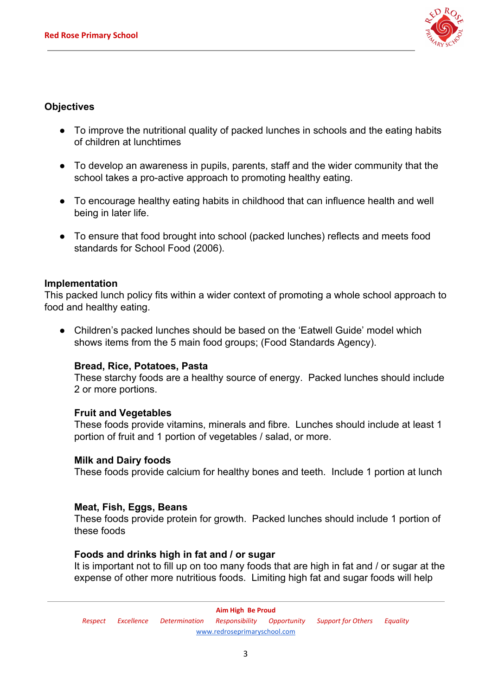

# **Objectives**

- To improve the nutritional quality of packed lunches in schools and the eating habits of children at lunchtimes
- To develop an awareness in pupils, parents, staff and the wider community that the school takes a pro-active approach to promoting healthy eating.
- To encourage healthy eating habits in childhood that can influence health and well being in later life.
- To ensure that food brought into school (packed lunches) reflects and meets food standards for School Food (2006).

## **Implementation**

This packed lunch policy fits within a wider context of promoting a whole school approach to food and healthy eating.

● Children's packed lunches should be based on the 'Eatwell Guide' model which shows items from the 5 main food groups; (Food Standards Agency).

## **Bread, Rice, Potatoes, Pasta**

These starchy foods are a healthy source of energy. Packed lunches should include 2 or more portions.

## **Fruit and Vegetables**

These foods provide vitamins, minerals and fibre. Lunches should include at least 1 portion of fruit and 1 portion of vegetables / salad, or more.

## **Milk and Dairy foods**

These foods provide calcium for healthy bones and teeth. Include 1 portion at lunch

#### **Meat, Fish, Eggs, Beans**

These foods provide protein for growth. Packed lunches should include 1 portion of these foods

#### **Foods and drinks high in fat and / or sugar**

It is important not to fill up on too many foods that are high in fat and / or sugar at the expense of other more nutritious foods. Limiting high fat and sugar foods will help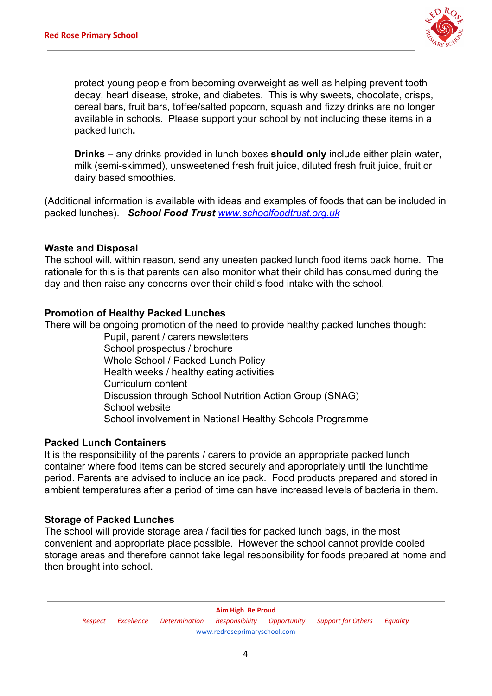

protect young people from becoming overweight as well as helping prevent tooth decay, heart disease, stroke, and diabetes. This is why sweets, chocolate, crisps, cereal bars, fruit bars, toffee/salted popcorn, squash and fizzy drinks are no longer available in schools. Please support your school by not including these items in a packed lunch**.**

**Drinks –** any drinks provided in lunch boxes **should only** include either plain water, milk (semi-skimmed), unsweetened fresh fruit juice, diluted fresh fruit juice, fruit or dairy based smoothies.

(Additional information is available with ideas and examples of foods that can be included in packed lunches).*School Food Trust [www.schoolfoodtrust.org.uk](http://www.schoolfoodtrust.org.uk/)*

#### **Waste and Disposal**

The school will, within reason, send any uneaten packed lunch food items back home. The rationale for this is that parents can also monitor what their child has consumed during the day and then raise any concerns over their child's food intake with the school.

#### **Promotion of Healthy Packed Lunches**

There will be ongoing promotion of the need to provide healthy packed lunches though:

Pupil, parent / carers newsletters School prospectus / brochure Whole School / Packed Lunch Policy Health weeks / healthy eating activities Curriculum content Discussion through School Nutrition Action Group (SNAG) School website School involvement in National Healthy Schools Programme

## **Packed Lunch Containers**

It is the responsibility of the parents / carers to provide an appropriate packed lunch container where food items can be stored securely and appropriately until the lunchtime period. Parents are advised to include an ice pack. Food products prepared and stored in ambient temperatures after a period of time can have increased levels of bacteria in them.

#### **Storage of Packed Lunches**

The school will provide storage area / facilities for packed lunch bags, in the most convenient and appropriate place possible. However the school cannot provide cooled storage areas and therefore cannot take legal responsibility for foods prepared at home and then brought into school.